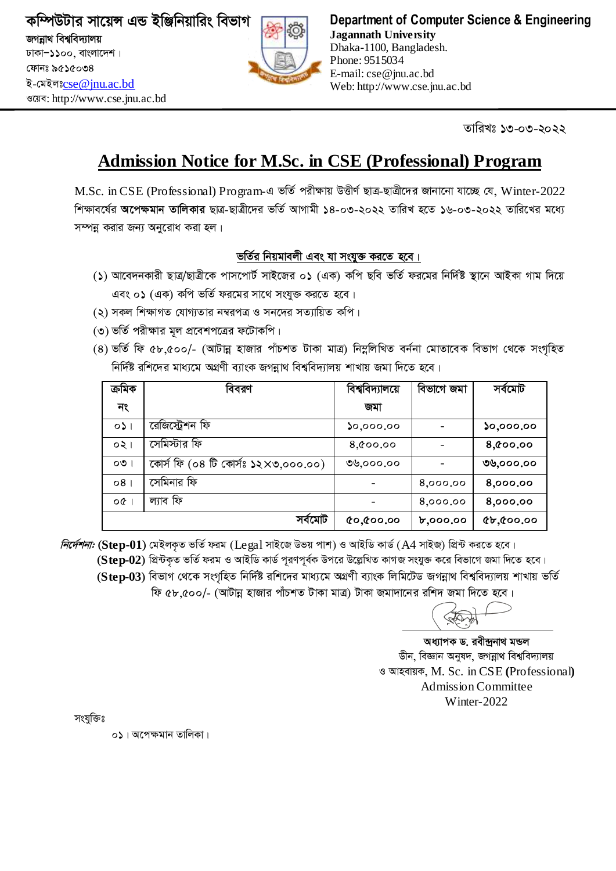

Department of Computer Science & Engineering **Jagannath University** Dhaka-1100, Bangladesh. Phone: 9515034 E-mail: cse@jnu.ac.bd Web: http://www.cse.jnu.ac.bd

তারিখঃ ১৩-০৩-২০২২

## **Admission Notice for M.Sc. in CSE (Professional) Program**

M.Sc. in CSE (Professional) Program-এ ভৰ্তি পরীক্ষায় উত্তীর্ণ ছাত্র-ছাত্রীদের জানানো যাচ্ছে যে, Winter-2022 শিক্ষাবর্ষের **অপেক্ষমান তালিকার** ছাত্র-ছাত্রীদের ভর্তি আগামী ১৪-০৩-২০২২ তারিখ হতে ১৬-০৩-২০২২ তারিখের মধ্যে সম্পন্ন করার জন্য অনুরোধ করা হল।

### ভৰ্তির নিয়মাবলী এবং যা সংযুক্ত করতে হবে।

- (১) আবেদনকারী ছাত্র/ছাত্রীকে পাসপোর্ট সাইজের ০১ (এক) কপি ছবি ভর্তি ফরমের নির্দিষ্ট স্থানে আইকা গাম দিয়ে এবং ০১ (এক) কপি ভর্তি ফরমের সাথে সংযুক্ত করতে হবে।
- (২) সকল শিক্ষাগত যোগ্যতার নম্বরপত্র ও সনদের সত্যায়িত কপি।
- (৩) ভর্তি পরীক্ষার মূল প্রবেশপত্রের ফটোকপি।
- (8) ভৰ্তি ফি ৫৮,৫০০/- (আটান্ন হাজার পাঁচশত টাকা মাত্র) নিম্নলিখিত বর্ননা মোতাবেক বিভাগ থেকে সংগহিত নির্দিষ্ট রশিদের মাধ্যমে অগ্রণী ব্যাংক জগন্নাথ বিশ্ববিদ্যালয় শাখায় জমা দিতে হবে।

| ক্ৰমিক          | বিবরণ                                        | বিশ্ববিদ্যালয়ে | বিভাগে জমা | সৰ্বমোট   |
|-----------------|----------------------------------------------|-----------------|------------|-----------|
| নং              |                                              | জমা             |            |           |
| $0\lambda$      | রেজিস্ট্রেশন ফি                              | 0,000,00        |            | 0,000,00  |
| 021             | সেমিস্টার ফি                                 | 8,000.00        |            | 8,000,00  |
| $OQ$            | কোর্স ফি (০৪ টি কোর্সঃ ১২ $\times$ ৩,০০০.০০) | ৩৬,০০০.০০       |            | ৩৬,০০০.০০ |
| 08 <sub>1</sub> | সেমিনার ফি                                   |                 | 8,000.00   | 8,000.00  |
| O(              | ল্যাব ফি                                     |                 | 8,000.00   | 8,000.00  |
|                 | সৰ্বমোট                                      | 0.000,00        | b,000,00   | 60,000,00 |

*নির্দেশনা:* (Step-01) মেইলকৃত ভর্তি ফরম (Legal সাইজে উভয় পাশ) ও আইডি কার্ড (A4 সাইজ) প্রিন্ট করতে হবে। (Step-02) প্রিন্টকৃত ভর্তি ফরম ও আইডি কার্ড পূরণপূর্বক উপরে উল্লেখিত কাগজ সংযুক্ত করে বিভাগে জমা দিতে হবে। (Step-03) বিভাগ থেকে সংগৃহিত নির্দিষ্ট রশিদের মাধ্যমে অগ্রণী ব্যাংক লিমিটেড জগন্নাথ বিশ্ববিদ্যালয় শাখায় ভর্তি ফি ৫৮,৫০০/- (আটান্ন হাজার পাঁচশত টাকা মাত্র) টাকা জমাদানের রশিদ জমা দিতে হবে।

অধ্যাপক ড. রবীন্দ্রনাথ মন্ডল ডীন, বিজ্ঞান অনুষদ, জগন্নাথ বিশ্ববিদ্যালয় ও আহবায়ক, M. Sc. in CSE (Professional) **Admission Committee** Winter-2022

সংযুক্তিঃ

০১। অপেক্ষমান তালিকা।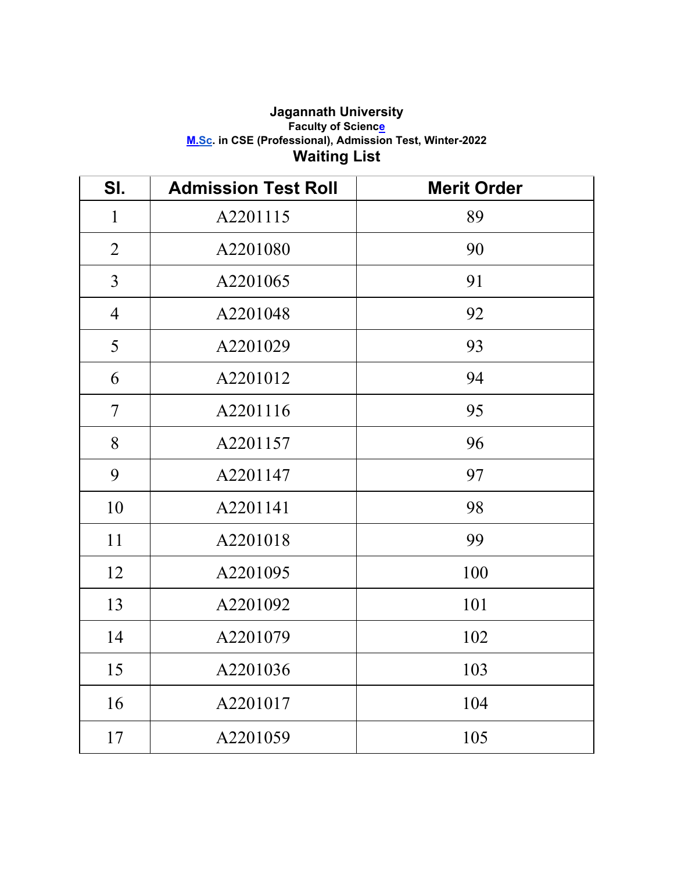#### **Jagannath University Faculty of Science M.Sc. in CSE (Professional), Admission Test, Winter-2022 Waiting List**

| SI.                      | <b>Admission Test Roll</b> | <b>Merit Order</b> |
|--------------------------|----------------------------|--------------------|
| $\mathbf{1}$             | A2201115                   | 89                 |
| $\overline{2}$           | A2201080                   | 90                 |
| $\overline{3}$           | A2201065                   | 91                 |
| $\overline{4}$           | A2201048                   | 92                 |
| 5                        | A2201029                   | 93                 |
| 6                        | A2201012                   | 94                 |
| $\overline{\mathcal{L}}$ | A2201116                   | 95                 |
| 8                        | A2201157                   | 96                 |
| 9                        | A2201147                   | 97                 |
| 10                       | A2201141                   | 98                 |
| 11                       | A2201018                   | 99                 |
| 12                       | A2201095                   | 100                |
| 13                       | A2201092                   | 101                |
| 14                       | A2201079                   | 102                |
| 15                       | A2201036                   | 103                |
| 16                       | A2201017                   | 104                |
| 17                       | A2201059                   | 105                |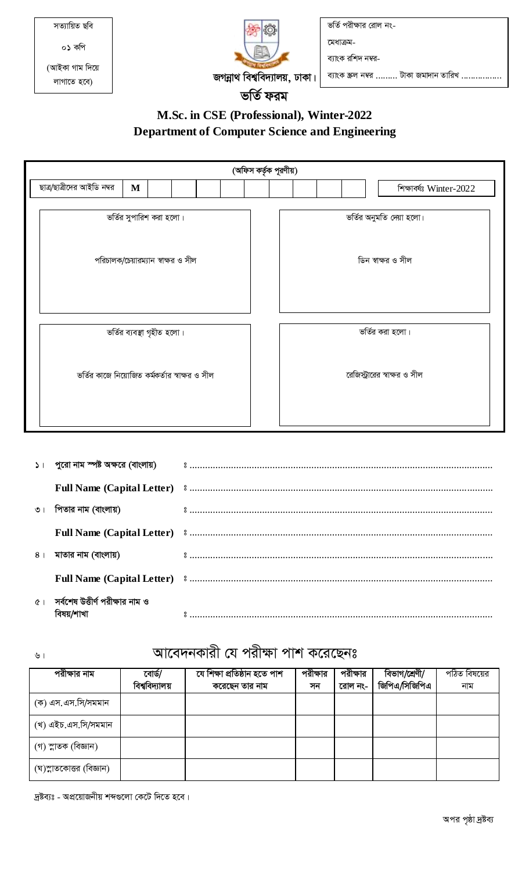| সত্যায়িত ছবি   |                               | ভর্তি পরীক্ষার রোল নং-                 |  |  |
|-----------------|-------------------------------|----------------------------------------|--|--|
| ০১ কপি          |                               | মেধাক্রম-                              |  |  |
| (আইকা গাম দিয়ে |                               | ব্যাংক রশিদ নম্বর-                     |  |  |
| লাগাতে হবে)     | জগন্নাথ বিশ্ববিদ্যালয়, ঢাকা। | ব্যাংক স্ক্রল নম্বর  টাকা জমাদান তারিখ |  |  |
| ভাত ফরম         |                               |                                        |  |  |

## M.Sc. in CSE (Professional), Winter-2022 **Department of Computer Science and Engineering**

| (অফিস কর্তৃক পুরণীয়)                          |                              |  |  |
|------------------------------------------------|------------------------------|--|--|
| ছাত্র/ছাত্রীদের আইডি নম্বর<br>$\mathbf{M}$     | শিক্ষাবৰ্ষঃ Winter-2022      |  |  |
|                                                |                              |  |  |
| ভর্তির সুপারিশ করা হলো।                        | ভৰ্তির অনুমতি দেয়া হলো।     |  |  |
| পরিচালক/চেয়ারম্যান স্বাক্ষর ও সীল             | ডিন স্বাক্ষর ও সীল           |  |  |
|                                                |                              |  |  |
| ভৰ্তির ব্যবস্থা গৃহীত হলো।                     | ভৰ্তির করা হলো।              |  |  |
| ভর্তির কাজে নিয়োজিত কর্মকর্তার স্বাক্ষর ও সীল | রেজিস্ট্রারের স্বাক্ষর ও সীল |  |  |
|                                                |                              |  |  |

| $\sum$         |                                 |  |
|----------------|---------------------------------|--|
|                |                                 |  |
| $\circ$        | পিতার নাম (বাংলায়)             |  |
|                |                                 |  |
| 8 <sup>1</sup> | মাতার নাম (বাংলায়)             |  |
|                |                                 |  |
| $\alpha$ 1     | সর্বশেষ উত্তীর্ণ পরীক্ষার নাম ও |  |

৬।

# আবেদনকারী যে পরীক্ষা পাশ করেছেনঃ

| পরীক্ষার নাম             | ৰোৰ্ড/         | যে শিক্ষা প্ৰতিষ্ঠান হতে পাশ | পরীক্ষার | পরীক্ষার | বিভাগ/শ্ৰেণী/ | পঠিত বিষয়ের |
|--------------------------|----------------|------------------------------|----------|----------|---------------|--------------|
|                          | বিশ্ববিদ্যালয় | করেছেন তার নাম               | সন       | রোল নং-  | জিপিএ/সিজিপিএ | নাম          |
| (ক) এস.এস.সি/সমমান       |                |                              |          |          |               |              |
| (খ) এইচ.এস.সি/সমমান      |                |                              |          |          |               |              |
| (গ) স্নাতক (বিজ্ঞান)     |                |                              |          |          |               |              |
| (ঘ)ম্লাতকোত্তর (বিজ্ঞান) |                |                              |          |          |               |              |

দ্রষ্টব্যঃ - অপ্রয়োজনীয় শব্দগুলো কেটে দিতে হবে।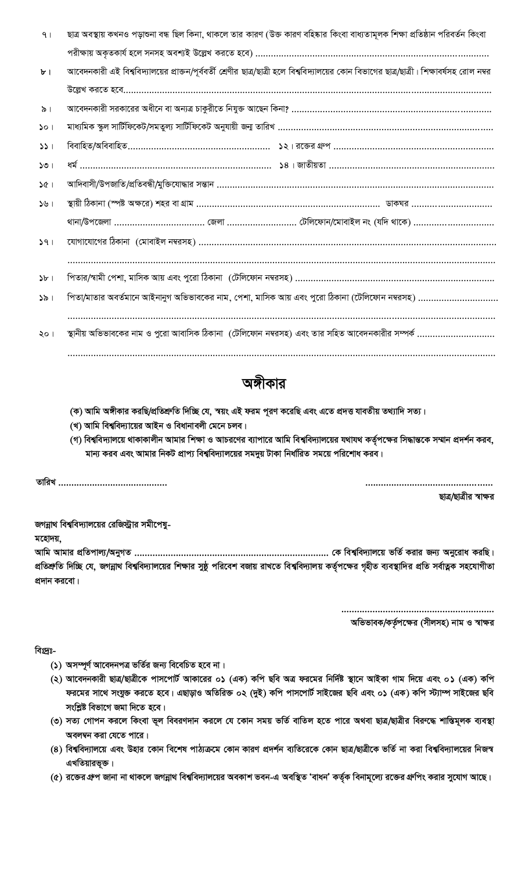| 9 <sub>1</sub>  | ছাত্র অবস্থায় কখনও পড়াশুনা বন্ধ ছিল কিনা, থাকলে তার কারণ (উক্ত কারণ বহিষ্কার কিংবা বাধ্যতামূলক শিক্ষা প্রতিষ্ঠান পরিবর্তন কিংবা            |
|-----------------|----------------------------------------------------------------------------------------------------------------------------------------------|
|                 |                                                                                                                                              |
| $\mathbf{b}$    | আবেদনকারী এই বিশ্ববিদ্যালয়ের প্রাক্তন/পূর্ববর্তী শ্রেণীর ছাত্র/ছাত্রী হলে বিশ্ববিদ্যালয়ের কোন বিভাগের ছাত্র/ছাত্রী। শিক্ষাবর্ষসহ রোল নম্বর |
|                 |                                                                                                                                              |
| $\delta$        |                                                                                                                                              |
| 501             |                                                                                                                                              |
| 551             |                                                                                                                                              |
| 501             |                                                                                                                                              |
| 361             |                                                                                                                                              |
| 591             |                                                                                                                                              |
|                 |                                                                                                                                              |
| 591             |                                                                                                                                              |
|                 |                                                                                                                                              |
| 5b <sub>1</sub> |                                                                                                                                              |
| 351             | পিতা/মাতার অবর্তমানে আইনানুগ অভিভাবকের নাম, পেশা, মাসিক আয় এবং পুরো ঠিকানা (টেলিফোন নম্বরসহ)                                                |
|                 |                                                                                                                                              |
| ২০।             | স্থানীয় অভিভাবকের নাম ও পুরো আবাসিক ঠিকানা (টেলিফোন নম্বরসহ) এবং তার সহিত আবেদনকারীর সম্পর্ক …………………………                                     |
|                 |                                                                                                                                              |

অঙ্গীকার

- (ক) আমি অঙ্গীকার করছি/প্রতিশ্রুতি দিচ্ছি যে, স্বয়ং এই ফরম পূরণ করেছি এবং এতে প্রদত্ত যাবতীয় তথ্যাদি সত্য।
- (খ) আমি বিশ্ববিদ্যায়ের আইন ও বিধানাবলী মেনে চলব।
- (গ) বিশ্ববিদ্যালয়ে থাকাকালীন আমার শিক্ষা ও আচরণের ব্যাপারে আমি বিশ্ববিদ্যালয়ের যথাযথ কর্তৃপক্ষের সিদ্ধান্তকে সম্মান প্রদর্শন করব, মান্য করব এবং আমার নিকট প্রাপ্য বিশ্ববিদ্যালয়ের সমদুয় টাকা নির্ধারিত সময়ে পরিশোধ করব।

ছাত্র/ছাত্রীর স্বাক্ষর

জগন্নাথ বিশ্ববিদ্যালয়ের রেজিস্ট্রার সমীপেষু-

মহোদয়,

আমি আমার প্রতিপাল্য/অনুগত ……………………………………………………………………… কে বিশ্ববিদ্যালয়ে ভর্তি করার জন্য অনুরোধ করছি। প্রতিশ্রুতি দিচ্ছি যে, জগন্নাথ বিশ্ববিদ্যালয়ের শিক্ষার সুষ্ঠু পরিবেশ বজায় রাখতে বিশ্ববিদ্যালয় কর্তৃপক্ষের গৃহীত ব্যবস্থাদির প্রতি সর্বাত্নক সহযোগীতা প্রদান করবো।

> অভিভাবক/কর্তৃপক্ষের (সীলসহ) নাম ও স্বাক্ষর

#### বিগ্ৰন্থঃ-

- (১) অসম্পূর্ণ আবেদনপত্র ভর্তির জন্য বিবেচিত হবে না।
- (২) আবেদনকারী ছাত্র/ছাত্রীকে পাসপোর্ট আকারের ০১ (এক) কপি ছবি অত্র ফরমের নির্দিষ্ট স্থানে আইকা গাম দিয়ে এবং ০১ (এক) কপি ফরমের সাথে সংযুক্ত করতে হবে। এছাড়াও অতিরিক্ত ০২ (দুই) কপি পাসপোর্ট সাইজের ছবি এবং ০১ (এক) কপি স্ট্যাম্প সাইজের ছবি সংশ্লিষ্ট বিভাগে জমা দিতে হবে।
- (৩) সত্য গোপন করলে কিংবা ভূল বিবরণদান করলে যে কোন সময় ভর্তি বাতিল হতে পারে অথবা ছাত্র/ছাত্রীর বিরুদ্ধে শাস্তিমূলক ব্যবস্থা অবলম্বন করা যেতে পারে।
- (৪) বিশ্ববিদ্যালয়ে এবং উহার কোন বিশেষ পাঠ্যক্রমে কোন কারণ প্রদর্শন ব্যতিরেকে কোন ছাত্র/ছাত্রীকে ভর্তি না করা বিশ্ববিদ্যালয়ের নিজস্ব এখতিয়ারভূক্ত।
- (৫) রজের গ্রুপ জানা না থাকলে জগন্নাথ বিশ্ববিদ্যালয়ের অবকাশ ভবন-এ অবস্থিত 'বাধন' কর্তৃক বিনামূল্যে রজের গ্রুপিং করার সুযোগ আছে।